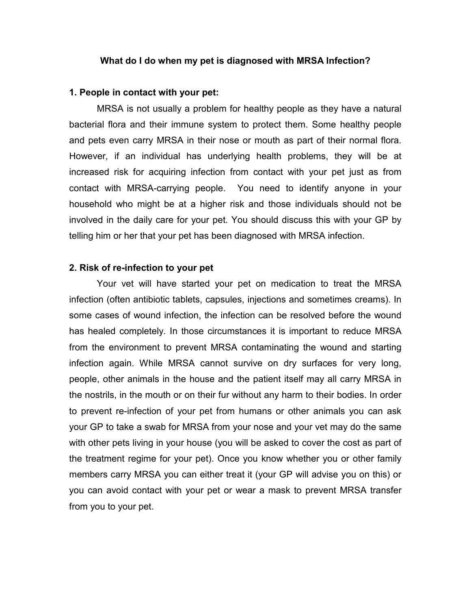### What do I do when my pet is diagnosed with MRSA Infection?

#### 1. People in contact with your pet:

 MRSA is not usually a problem for healthy people as they have a natural bacterial flora and their immune system to protect them. Some healthy people and pets even carry MRSA in their nose or mouth as part of their normal flora. However, if an individual has underlying health problems, they will be at increased risk for acquiring infection from contact with your pet just as from contact with MRSA-carrying people. You need to identify anyone in your household who might be at a higher risk and those individuals should not be involved in the daily care for your pet. You should discuss this with your GP by telling him or her that your pet has been diagnosed with MRSA infection.

### 2. Risk of re-infection to your pet

 Your vet will have started your pet on medication to treat the MRSA infection (often antibiotic tablets, capsules, injections and sometimes creams). In some cases of wound infection, the infection can be resolved before the wound has healed completely. In those circumstances it is important to reduce MRSA from the environment to prevent MRSA contaminating the wound and starting infection again. While MRSA cannot survive on dry surfaces for very long, people, other animals in the house and the patient itself may all carry MRSA in the nostrils, in the mouth or on their fur without any harm to their bodies. In order to prevent re-infection of your pet from humans or other animals you can ask your GP to take a swab for MRSA from your nose and your vet may do the same with other pets living in your house (you will be asked to cover the cost as part of the treatment regime for your pet). Once you know whether you or other family members carry MRSA you can either treat it (your GP will advise you on this) or you can avoid contact with your pet or wear a mask to prevent MRSA transfer from you to your pet.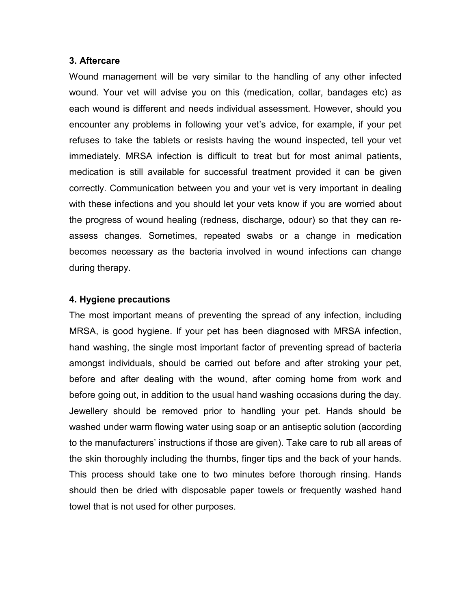## 3. Aftercare

Wound management will be very similar to the handling of any other infected wound. Your vet will advise you on this (medication, collar, bandages etc) as each wound is different and needs individual assessment. However, should you encounter any problems in following your vet's advice, for example, if your pet refuses to take the tablets or resists having the wound inspected, tell your vet immediately. MRSA infection is difficult to treat but for most animal patients, medication is still available for successful treatment provided it can be given correctly. Communication between you and your vet is very important in dealing with these infections and you should let your vets know if you are worried about the progress of wound healing (redness, discharge, odour) so that they can reassess changes. Sometimes, repeated swabs or a change in medication becomes necessary as the bacteria involved in wound infections can change during therapy.

# 4. Hygiene precautions

The most important means of preventing the spread of any infection, including MRSA, is good hygiene. If your pet has been diagnosed with MRSA infection, hand washing, the single most important factor of preventing spread of bacteria amongst individuals, should be carried out before and after stroking your pet, before and after dealing with the wound, after coming home from work and before going out, in addition to the usual hand washing occasions during the day. Jewellery should be removed prior to handling your pet. Hands should be washed under warm flowing water using soap or an antiseptic solution (according to the manufacturers' instructions if those are given). Take care to rub all areas of the skin thoroughly including the thumbs, finger tips and the back of your hands. This process should take one to two minutes before thorough rinsing. Hands should then be dried with disposable paper towels or frequently washed hand towel that is not used for other purposes.